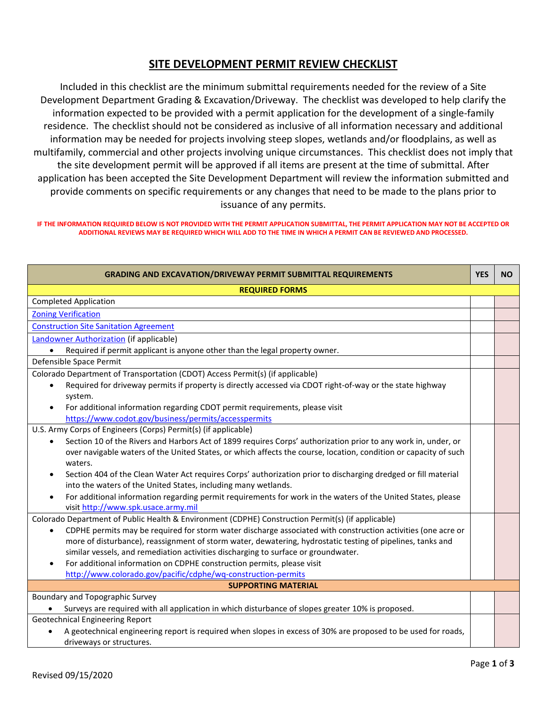## **SITE DEVELOPMENT PERMIT REVIEW CHECKLIST**

Included in this checklist are the minimum submittal requirements needed for the review of a Site Development Department Grading & Excavation/Driveway. The checklist was developed to help clarify the information expected to be provided with a permit application for the development of a single-family residence. The checklist should not be considered as inclusive of all information necessary and additional information may be needed for projects involving steep slopes, wetlands and/or floodplains, as well as multifamily, commercial and other projects involving unique circumstances. This checklist does not imply that the site development permit will be approved if all items are present at the time of submittal. After application has been accepted the Site Development Department will review the information submitted and provide comments on specific requirements or any changes that need to be made to the plans prior to issuance of any permits.

## **IF THE INFORMATION REQUIRED BELOW IS NOT PROVIDED WITH THE PERMIT APPLICATION SUBMITTAL, THE PERMIT APPLICATION MAY NOT BE ACCEPTED OR ADDITIONAL REVIEWS MAY BE REQUIRED WHICH WILL ADD TO THE TIME IN WHICH A PERMIT CAN BE REVIEWED AND PROCESSED.**

| <b>GRADING AND EXCAVATION/DRIVEWAY PERMIT SUBMITTAL REQUIREMENTS</b>                                                                                                                                                                                                                                                          | <b>YES</b> | <b>NO</b> |  |  |
|-------------------------------------------------------------------------------------------------------------------------------------------------------------------------------------------------------------------------------------------------------------------------------------------------------------------------------|------------|-----------|--|--|
| <b>REQUIRED FORMS</b>                                                                                                                                                                                                                                                                                                         |            |           |  |  |
| <b>Completed Application</b>                                                                                                                                                                                                                                                                                                  |            |           |  |  |
| <b>Zoning Verification</b>                                                                                                                                                                                                                                                                                                    |            |           |  |  |
| <b>Construction Site Sanitation Agreement</b>                                                                                                                                                                                                                                                                                 |            |           |  |  |
| Landowner Authorization (if applicable)                                                                                                                                                                                                                                                                                       |            |           |  |  |
| Required if permit applicant is anyone other than the legal property owner.                                                                                                                                                                                                                                                   |            |           |  |  |
| Defensible Space Permit                                                                                                                                                                                                                                                                                                       |            |           |  |  |
| Colorado Department of Transportation (CDOT) Access Permit(s) (if applicable)                                                                                                                                                                                                                                                 |            |           |  |  |
| Required for driveway permits if property is directly accessed via CDOT right-of-way or the state highway<br>system.                                                                                                                                                                                                          |            |           |  |  |
| For additional information regarding CDOT permit requirements, please visit                                                                                                                                                                                                                                                   |            |           |  |  |
| https://www.codot.gov/business/permits/accesspermits                                                                                                                                                                                                                                                                          |            |           |  |  |
| U.S. Army Corps of Engineers (Corps) Permit(s) (if applicable)                                                                                                                                                                                                                                                                |            |           |  |  |
| Section 10 of the Rivers and Harbors Act of 1899 requires Corps' authorization prior to any work in, under, or<br>$\bullet$<br>over navigable waters of the United States, or which affects the course, location, condition or capacity of such<br>waters.                                                                    |            |           |  |  |
| Section 404 of the Clean Water Act requires Corps' authorization prior to discharging dredged or fill material<br>into the waters of the United States, including many wetlands.                                                                                                                                              |            |           |  |  |
| For additional information regarding permit requirements for work in the waters of the United States, please<br>visit http://www.spk.usace.army.mil                                                                                                                                                                           |            |           |  |  |
| Colorado Department of Public Health & Environment (CDPHE) Construction Permit(s) (if applicable)                                                                                                                                                                                                                             |            |           |  |  |
| CDPHE permits may be required for storm water discharge associated with construction activities (one acre or<br>$\bullet$<br>more of disturbance), reassignment of storm water, dewatering, hydrostatic testing of pipelines, tanks and<br>similar vessels, and remediation activities discharging to surface or groundwater. |            |           |  |  |
| For additional information on CDPHE construction permits, please visit                                                                                                                                                                                                                                                        |            |           |  |  |
| http://www.colorado.gov/pacific/cdphe/wq-construction-permits                                                                                                                                                                                                                                                                 |            |           |  |  |
| <b>SUPPORTING MATERIAL</b>                                                                                                                                                                                                                                                                                                    |            |           |  |  |
| Boundary and Topographic Survey                                                                                                                                                                                                                                                                                               |            |           |  |  |
| Surveys are required with all application in which disturbance of slopes greater 10% is proposed.                                                                                                                                                                                                                             |            |           |  |  |
| <b>Geotechnical Engineering Report</b>                                                                                                                                                                                                                                                                                        |            |           |  |  |
| A geotechnical engineering report is required when slopes in excess of 30% are proposed to be used for roads,<br>driveways or structures.                                                                                                                                                                                     |            |           |  |  |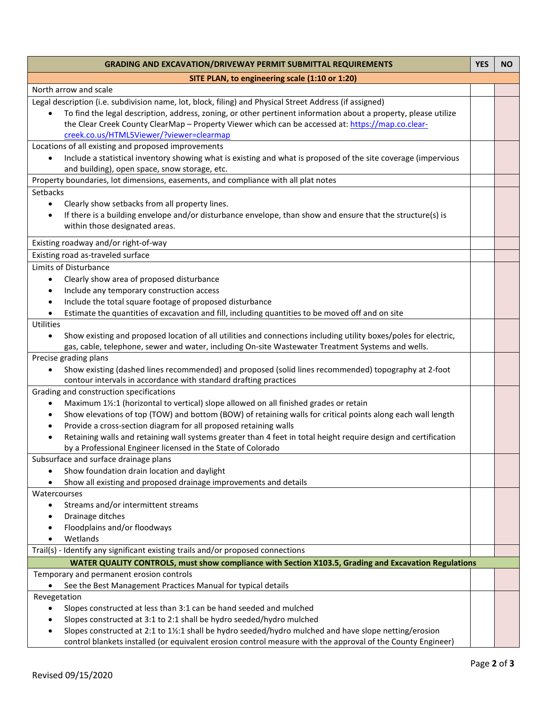| <b>GRADING AND EXCAVATION/DRIVEWAY PERMIT SUBMITTAL REQUIREMENTS</b>                                                          | <b>YES</b> | <b>NO</b> |
|-------------------------------------------------------------------------------------------------------------------------------|------------|-----------|
| SITE PLAN, to engineering scale (1:10 or 1:20)                                                                                |            |           |
| North arrow and scale                                                                                                         |            |           |
| Legal description (i.e. subdivision name, lot, block, filing) and Physical Street Address (if assigned)                       |            |           |
| To find the legal description, address, zoning, or other pertinent information about a property, please utilize<br>$\bullet$  |            |           |
| the Clear Creek County ClearMap - Property Viewer which can be accessed at: https://map.co.clear-                             |            |           |
| creek.co.us/HTML5Viewer/?viewer=clearmap                                                                                      |            |           |
| Locations of all existing and proposed improvements                                                                           |            |           |
| Include a statistical inventory showing what is existing and what is proposed of the site coverage (impervious                |            |           |
| and building), open space, snow storage, etc.                                                                                 |            |           |
| Property boundaries, lot dimensions, easements, and compliance with all plat notes                                            |            |           |
| <b>Setbacks</b>                                                                                                               |            |           |
| Clearly show setbacks from all property lines.<br>$\bullet$                                                                   |            |           |
| If there is a building envelope and/or disturbance envelope, than show and ensure that the structure(s) is<br>$\bullet$       |            |           |
| within those designated areas.                                                                                                |            |           |
| Existing roadway and/or right-of-way                                                                                          |            |           |
| Existing road as-traveled surface                                                                                             |            |           |
| Limits of Disturbance                                                                                                         |            |           |
| Clearly show area of proposed disturbance<br>$\bullet$                                                                        |            |           |
| Include any temporary construction access<br>$\bullet$                                                                        |            |           |
| Include the total square footage of proposed disturbance<br>$\bullet$                                                         |            |           |
| Estimate the quantities of excavation and fill, including quantities to be moved off and on site                              |            |           |
| Utilities                                                                                                                     |            |           |
| Show existing and proposed location of all utilities and connections including utility boxes/poles for electric,<br>$\bullet$ |            |           |
| gas, cable, telephone, sewer and water, including On-site Wastewater Treatment Systems and wells.                             |            |           |
| Precise grading plans                                                                                                         |            |           |
| Show existing (dashed lines recommended) and proposed (solid lines recommended) topography at 2-foot<br>$\bullet$             |            |           |
| contour intervals in accordance with standard drafting practices                                                              |            |           |
| Grading and construction specifications                                                                                       |            |           |
| Maximum 1½:1 (horizontal to vertical) slope allowed on all finished grades or retain<br>$\bullet$                             |            |           |
| Show elevations of top (TOW) and bottom (BOW) of retaining walls for critical points along each wall length<br>٠              |            |           |
| Provide a cross-section diagram for all proposed retaining walls<br>٠                                                         |            |           |
| Retaining walls and retaining wall systems greater than 4 feet in total height require design and certification               |            |           |
| by a Professional Engineer licensed in the State of Colorado                                                                  |            |           |
| Subsurface and surface drainage plans                                                                                         |            |           |
| Show foundation drain location and daylight                                                                                   |            |           |
| Show all existing and proposed drainage improvements and details                                                              |            |           |
| Watercourses                                                                                                                  |            |           |
| Streams and/or intermittent streams<br>٠                                                                                      |            |           |
| Drainage ditches<br>Floodplains and/or floodways                                                                              |            |           |
| Wetlands                                                                                                                      |            |           |
| Trail(s) - Identify any significant existing trails and/or proposed connections                                               |            |           |
| WATER QUALITY CONTROLS, must show compliance with Section X103.5, Grading and Excavation Regulations                          |            |           |
| Temporary and permanent erosion controls                                                                                      |            |           |
| See the Best Management Practices Manual for typical details                                                                  |            |           |
| Revegetation                                                                                                                  |            |           |
| Slopes constructed at less than 3:1 can be hand seeded and mulched<br>$\bullet$                                               |            |           |
| Slopes constructed at 3:1 to 2:1 shall be hydro seeded/hydro mulched                                                          |            |           |
| Slopes constructed at 2:1 to 1½:1 shall be hydro seeded/hydro mulched and have slope netting/erosion                          |            |           |
| control blankets installed (or equivalent erosion control measure with the approval of the County Engineer)                   |            |           |